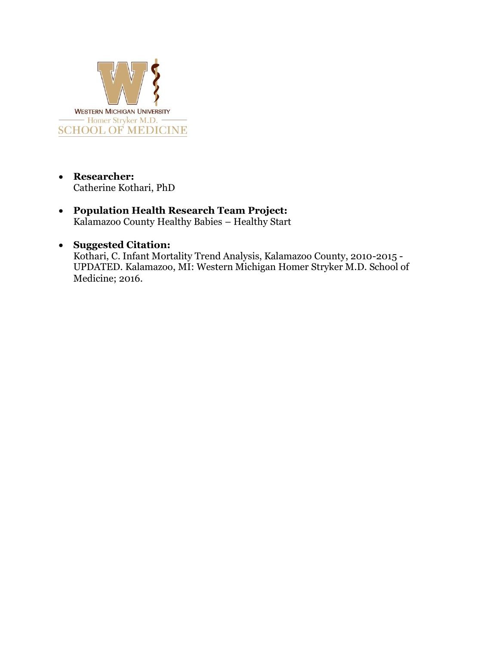

- **Researcher:** Catherine Kothari, PhD
- **Population Health Research Team Project:** Kalamazoo County Healthy Babies – Healthy Start

## • **Suggested Citation:**

Kothari, C. Infant Mortality Trend Analysis, Kalamazoo County, 2010-2015 - UPDATED. Kalamazoo, MI: Western Michigan Homer Stryker M.D. School of Medicine; 2016.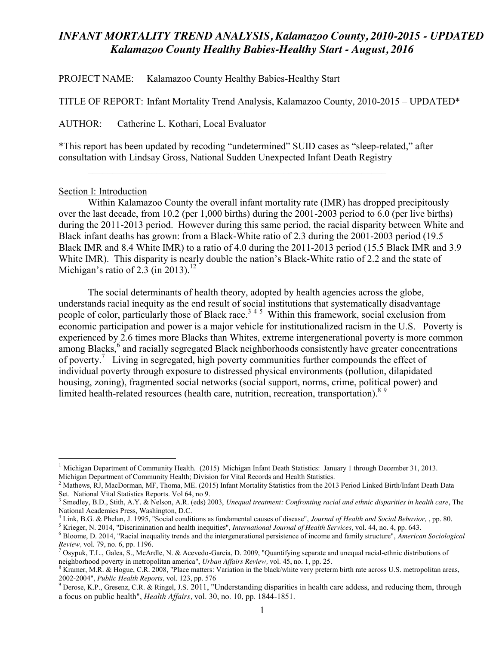PROJECT NAME: Kalamazoo County Healthy Babies-Healthy Start

TITLE OF REPORT: Infant Mortality Trend Analysis, Kalamazoo County, 2010-2015 – UPDATED\*

AUTHOR: Catherine L. Kothari, Local Evaluator

\*This report has been updated by recoding "undetermined" SUID cases as "sleep-related," after consultation with Lindsay Gross, National Sudden Unexpected Infant Death Registry

 $\mathcal{L}_\text{max}$  , and the contribution of the contribution of the contribution of the contribution of the contribution of the contribution of the contribution of the contribution of the contribution of the contribution of t

#### Section I: Introduction

Within Kalamazoo County the overall infant mortality rate (IMR) has dropped precipitously over the last decade, from 10.2 (per 1,000 births) during the 2001-2003 period to 6.0 (per live births) during the 2011-2013 period. However during this same period, the racial disparity between White and Black infant deaths has grown: from a Black-White ratio of 2.3 during the 2001-2003 period (19.5 Black IMR and 8.4 White IMR) to a ratio of 4.0 during the 2011-2013 period (15.5 Black IMR and 3.9 White IMR). This disparity is nearly double the nation's Black-White ratio of 2.2 and the state of Michigan's ratio of 2.3 (in 2013).<sup>12</sup>

The social determinants of health theory, adopted by health agencies across the globe, understands racial inequity as the end result of social institutions that systematically disadvantage people of color, particularly those of Black race.<sup>345</sup> Within this framework, social exclusion from economic participation and power is a major vehicle for institutionalized racism in the U.S. Poverty is experienced by 2.6 times more Blacks than Whites, extreme intergenerational poverty is more common among Blacks,<sup>6</sup> and racially segregated Black neighborhoods consistently have greater concentrations of poverty.<sup>7</sup> Living in segregated, high poverty communities further compounds the effect of individual poverty through exposure to distressed physical environments (pollution, dilapidated housing, zoning), fragmented social networks (social support, norms, crime, political power) and limited health-related resources (health care, nutrition, recreation, transportation).<sup>89</sup>

<sup>&</sup>lt;sup>1</sup> Michigan Department of Community Health. (2015) Michigan Infant Death Statistics: January 1 through December 31, 2013. Michigan Department of Community Health; Division for Vital Records and Health Statistics.

<sup>&</sup>lt;sup>2</sup> Mathews, RJ, MacDorman, MF, Thoma, ME. (2015) Infant Mortality Statistics from the 2013 Period Linked Birth/Infant Death Data Set. National Vital Statistics Reports. Vol 64, no 9.

<sup>3</sup> Smedley, B.D., Stith, A.Y. & Nelson, A.R. (eds) 2003, *Unequal treatment: Confronting racial and ethnic disparities in health care*, The National Academies Press, Washington, D.C.<br><sup>4</sup> Link, B.G. & Phelan, J. 1995, "Social conditions as fundamental causes of disease", *Journal of Health and Social Behavior*, , pp. 80.<br><sup>5</sup> Krieger, N. 2014, "Discrimination an

*Review, vol. 79, no. 6, pp. 1196.*<br><sup>7</sup> Osypuk, T.L., Galea, S., McArdle, N. & Acevedo-Garcia, D. 2009, "Quantifying separate and unequal racial-ethnic distributions of

neighborhood poverty in metropolitan america", *Urban Affairs Review*, vol. 45, no. 1, pp. 25.<br><sup>8</sup> Kramer, M.R. & Hogue, C.R. 2008, "Place matters: Variation in the black/white very preterm birth rate across U.S. metropoli

<sup>2002-2004&</sup>quot;, *Public Health Reports,* vol. 123, pp. 576

<sup>&</sup>lt;sup>9</sup> Derose, K.P., Gresenz, C.R. & Ringel, J.S. 2011, "Understanding disparities in health care addess, and reducing them, through a focus on public health", *Health Affairs,* vol. 30, no. 10, pp. 1844-1851.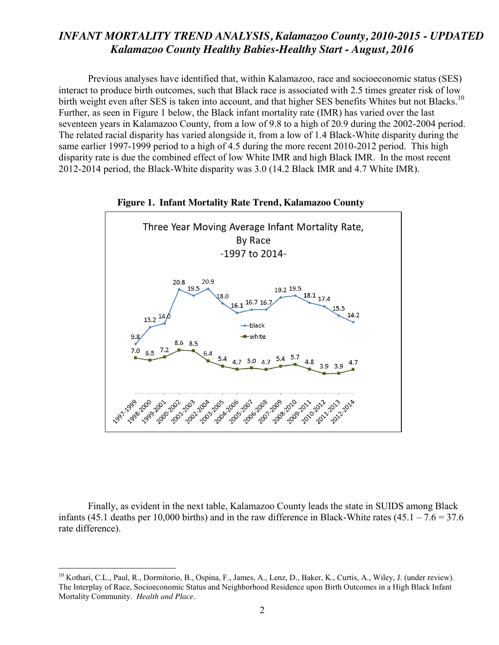Previous analyses have identified that, within Kalamazoo, race and socioeconomic status (SES) interact to produce birth outcomes, such that Black race is associated with 2.5 times greater risk of low birth weight even after SES is taken into account, and that higher SES benefits Whites but not Blacks.<sup>10</sup> Further, as seen in Figure 1 below, the Black infant mortality rate (IMR) has varied over the last seventeen years in Kalamazoo County, from a low of 9.8 to a high of 20.9 during the 2002-2004 period. The related racial disparity has varied alongside it, from a low of 1.4 Black-White disparity during the same earlier 1997-1999 period to a high of 4.5 during the more recent 2010-2012 period. This high disparity rate is due the combined effect of low White IMR and high Black IMR. In the most recent 2012-2014 period, the Black-White disparity was 3.0 (14.2 Black IMR and 4.7 White IMR).





Finally, as evident in the next table, Kalamazoo County leads the state in SUIDS among Black infants (45.1 deaths per 10,000 births) and in the raw difference in Black-White rates (45.1 – 7.6 = 37.6 rate difference).

<sup>&</sup>lt;sup>10</sup> Kothari, C.L., Paul, R., Dormitorio, B., Ospina, F., James, A., Lenz, D., Baker, K., Curtis, A., Wiley, J. (under review). The Interplay of Race, Socioeconomic Status and Neighborhood Residence upon Birth Outcomes in a High Black Infant Mortality Community. *Health and Place.*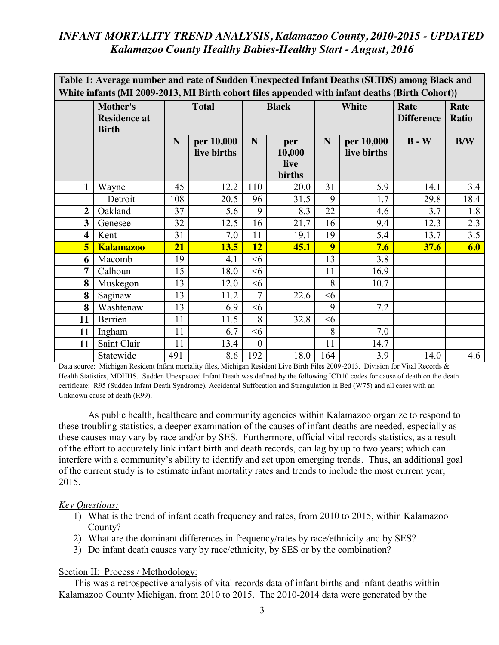| Table 1: Average number and rate of Sudden Unexpected Infant Deaths (SUIDS) among Black and    |                                                 |              |                           |              |                                 |              |                           |                           |                      |
|------------------------------------------------------------------------------------------------|-------------------------------------------------|--------------|---------------------------|--------------|---------------------------------|--------------|---------------------------|---------------------------|----------------------|
| White infants (MI 2009-2013, MI Birth cohort files appended with infant deaths (Birth Cohort)) |                                                 |              |                           |              |                                 |              |                           |                           |                      |
|                                                                                                | Mother's<br><b>Residence at</b><br><b>Birth</b> | <b>Total</b> |                           | <b>Black</b> |                                 | <b>White</b> |                           | Rate<br><b>Difference</b> | Rate<br><b>Ratio</b> |
|                                                                                                |                                                 | N            | per 10,000<br>live births | N            | per<br>10,000<br>live<br>births | N            | per 10,000<br>live births | $B - W$                   | B/W                  |
| $\mathbf{1}$                                                                                   | Wayne                                           | 145          | 12.2                      | 110          | 20.0                            | 31           | 5.9                       | 14.1                      | 3.4                  |
|                                                                                                | Detroit                                         | 108          | 20.5                      | 96           | 31.5                            | 9            | 1.7                       | 29.8                      | 18.4                 |
| $\overline{2}$                                                                                 | Oakland                                         | 37           | 5.6                       | 9            | 8.3                             | 22           | 4.6                       | 3.7                       | 1.8                  |
| 3                                                                                              | Genesee                                         | 32           | 12.5                      | 16           | 21.7                            | 16           | 9.4                       | 12.3                      | 2.3                  |
| $\overline{\mathbf{4}}$                                                                        | Kent                                            | 31           | 7.0                       | 11           | 19.1                            | 19           | 5.4                       | 13.7                      | 3.5                  |
| 5                                                                                              | <b>Kalamazoo</b>                                | 21           | 13.5                      | 12           | 45.1                            | 9            | 7.6                       | 37.6                      | 6.0                  |
| 6                                                                                              | Macomb                                          | 19           | 4.1                       | <6           |                                 | 13           | 3.8                       |                           |                      |
| 7                                                                                              | Calhoun                                         | 15           | 18.0                      | <6           |                                 | 11           | 16.9                      |                           |                      |
| 8                                                                                              | Muskegon                                        | 13           | 12.0                      | $<$ 6        |                                 | 8            | 10.7                      |                           |                      |
| 8                                                                                              | Saginaw                                         | 13           | 11.2                      | 7            | 22.6                            | <6           |                           |                           |                      |
| 8                                                                                              | Washtenaw                                       | 13           | 6.9                       | <6           |                                 | 9            | 7.2                       |                           |                      |
| 11                                                                                             | Berrien                                         | 11           | 11.5                      | 8            | 32.8                            | <6           |                           |                           |                      |
| 11                                                                                             | Ingham                                          | 11           | 6.7                       | $<$ 6        |                                 | 8            | 7.0                       |                           |                      |
| 11                                                                                             | Saint Clair                                     | 11           | 13.4                      | $\theta$     |                                 | 11           | 14.7                      |                           |                      |
|                                                                                                | Statewide                                       | 491          | 8.6                       | 192          | 18.0                            | 164          | 3.9                       | 14.0                      | 4.6                  |

Data source: Michigan Resident Infant mortality files, Michigan Resident Live Birth Files 2009-2013. Division for Vital Records & Health Statistics, MDHHS. Sudden Unexpected Infant Death was defined by the following ICD10 codes for cause of death on the death certificate: R95 (Sudden Infant Death Syndrome), Accidental Suffocation and Strangulation in Bed (W75) and all cases with an Unknown cause of death (R99).

As public health, healthcare and community agencies within Kalamazoo organize to respond to these troubling statistics, a deeper examination of the causes of infant deaths are needed, especially as these causes may vary by race and/or by SES. Furthermore, official vital records statistics, as a result of the effort to accurately link infant birth and death records, can lag by up to two years; which can interfere with a community's ability to identify and act upon emerging trends. Thus, an additional goal of the current study is to estimate infant mortality rates and trends to include the most current year, 2015.

#### *Key Questions:*

- 1) What is the trend of infant death frequency and rates, from 2010 to 2015, within Kalamazoo County?
- 2) What are the dominant differences in frequency/rates by race/ethnicity and by SES?
- 3) Do infant death causes vary by race/ethnicity, by SES or by the combination?

#### Section II: Process / Methodology:

This was a retrospective analysis of vital records data of infant births and infant deaths within Kalamazoo County Michigan, from 2010 to 2015. The 2010-2014 data were generated by the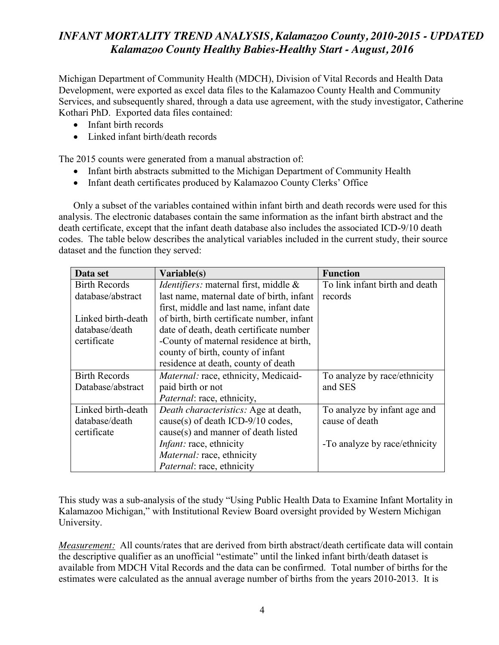Michigan Department of Community Health (MDCH), Division of Vital Records and Health Data Development, were exported as excel data files to the Kalamazoo County Health and Community Services, and subsequently shared, through a data use agreement, with the study investigator, Catherine Kothari PhD. Exported data files contained:

- $\bullet$  Infant birth records
- Linked infant birth/death records

The 2015 counts were generated from a manual abstraction of:

- Infant birth abstracts submitted to the Michigan Department of Community Health
- Infant death certificates produced by Kalamazoo County Clerks' Office

Only a subset of the variables contained within infant birth and death records were used for this analysis. The electronic databases contain the same information as the infant birth abstract and the death certificate, except that the infant death database also includes the associated ICD-9/10 death codes. The table below describes the analytical variables included in the current study, their source dataset and the function they served:

| Data set             | Variable(s)                                  | <b>Function</b>                |  |
|----------------------|----------------------------------------------|--------------------------------|--|
| <b>Birth Records</b> | <i>Identifiers:</i> maternal first, middle & | To link infant birth and death |  |
| database/abstract    | last name, maternal date of birth, infant    | records                        |  |
|                      | first, middle and last name, infant date     |                                |  |
| Linked birth-death   | of birth, birth certificate number, infant   |                                |  |
| database/death       | date of death, death certificate number      |                                |  |
| certificate          | -County of maternal residence at birth,      |                                |  |
|                      | county of birth, county of infant            |                                |  |
|                      | residence at death, county of death          |                                |  |
| <b>Birth Records</b> | Maternal: race, ethnicity, Medicaid-         | To analyze by race/ethnicity   |  |
| Database/abstract    | paid birth or not                            | and SES                        |  |
|                      | <i>Paternal: race, ethnicity,</i>            |                                |  |
| Linked birth-death   | Death characteristics: Age at death,         | To analyze by infant age and   |  |
| database/death       | cause(s) of death ICD-9/10 codes,            | cause of death                 |  |
| certificate          | cause(s) and manner of death listed          |                                |  |
|                      | <i>Infant:</i> race, ethnicity               | -To analyze by race/ethnicity  |  |
|                      | <i>Maternal: race, ethnicity</i>             |                                |  |
|                      | <i>Paternal: race, ethnicity</i>             |                                |  |

This study was a sub-analysis of the study "Using Public Health Data to Examine Infant Mortality in Kalamazoo Michigan," with Institutional Review Board oversight provided by Western Michigan University.

*Measurement:* All counts/rates that are derived from birth abstract/death certificate data will contain the descriptive qualifier as an unofficial "estimate" until the linked infant birth/death dataset is available from MDCH Vital Records and the data can be confirmed. Total number of births for the estimates were calculated as the annual average number of births from the years 2010-2013. It is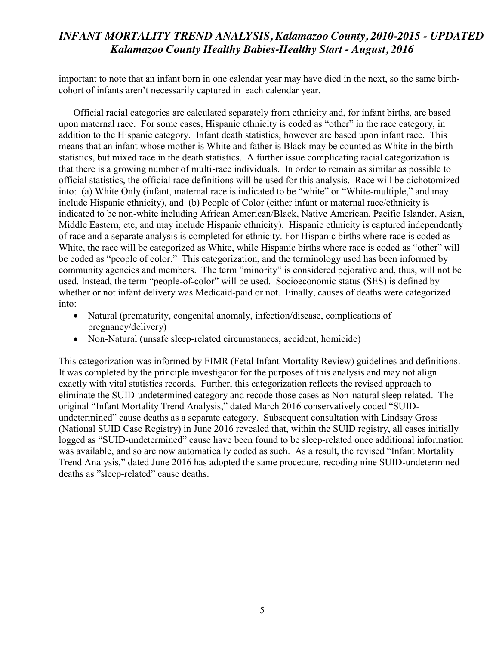important to note that an infant born in one calendar year may have died in the next, so the same birthcohort of infants aren't necessarily captured in each calendar year.

Official racial categories are calculated separately from ethnicity and, for infant births, are based upon maternal race. For some cases, Hispanic ethnicity is coded as "other" in the race category, in addition to the Hispanic category. Infant death statistics, however are based upon infant race. This means that an infant whose mother is White and father is Black may be counted as White in the birth statistics, but mixed race in the death statistics. A further issue complicating racial categorization is that there is a growing number of multi-race individuals. In order to remain as similar as possible to official statistics, the official race definitions will be used for this analysis. Race will be dichotomized into: (a) White Only (infant, maternal race is indicated to be "white" or "White-multiple," and may include Hispanic ethnicity), and (b) People of Color (either infant or maternal race/ethnicity is indicated to be non-white including African American/Black, Native American, Pacific Islander, Asian, Middle Eastern, etc, and may include Hispanic ethnicity). Hispanic ethnicity is captured independently of race and a separate analysis is completed for ethnicity. For Hispanic births where race is coded as White, the race will be categorized as White, while Hispanic births where race is coded as "other" will be coded as "people of color." This categorization, and the terminology used has been informed by community agencies and members. The term "minority" is considered pejorative and, thus, will not be used. Instead, the term "people-of-color" will be used. Socioeconomic status (SES) is defined by whether or not infant delivery was Medicaid-paid or not. Finally, causes of deaths were categorized into:

- Natural (prematurity, congenital anomaly, infection/disease, complications of pregnancy/delivery)
- Non-Natural (unsafe sleep-related circumstances, accident, homicide)

This categorization was informed by FIMR (Fetal Infant Mortality Review) guidelines and definitions. It was completed by the principle investigator for the purposes of this analysis and may not align exactly with vital statistics records. Further, this categorization reflects the revised approach to eliminate the SUID-undetermined category and recode those cases as Non-natural sleep related. The original "Infant Mortality Trend Analysis," dated March 2016 conservatively coded "SUIDundetermined" cause deaths as a separate category. Subsequent consultation with Lindsay Gross (National SUID Case Registry) in June 2016 revealed that, within the SUID registry, all cases initially logged as "SUID-undetermined" cause have been found to be sleep-related once additional information was available, and so are now automatically coded as such. As a result, the revised "Infant Mortality Trend Analysis," dated June 2016 has adopted the same procedure, recoding nine SUID-undetermined deaths as "sleep-related" cause deaths.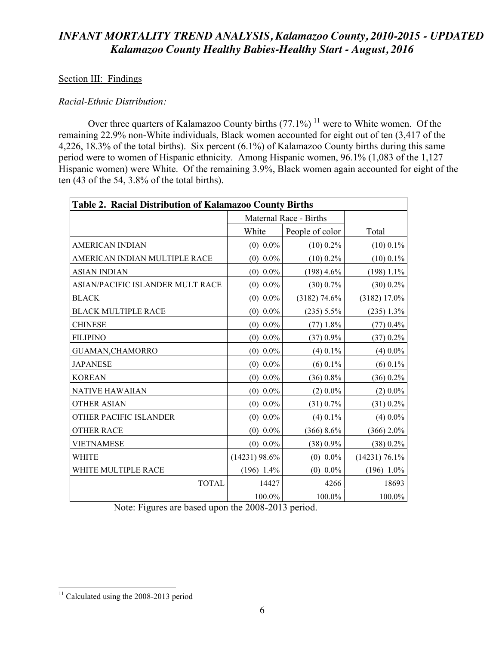#### Section III: Findings

#### *Racial-Ethnic Distribution:*

Over three quarters of Kalamazoo County births  $(77.1\%)$ <sup>11</sup> were to White women. Of the remaining 22.9% non-White individuals, Black women accounted for eight out of ten (3,417 of the 4,226, 18.3% of the total births). Six percent (6.1%) of Kalamazoo County births during this same period were to women of Hispanic ethnicity. Among Hispanic women, 96.1% (1,083 of the 1,127 Hispanic women) were White. Of the remaining 3.9%, Black women again accounted for eight of the ten (43 of the 54, 3.8% of the total births).

| Table 2. Racial Distribution of Kalamazoo County Births |                        |                 |               |  |  |  |
|---------------------------------------------------------|------------------------|-----------------|---------------|--|--|--|
|                                                         | Maternal Race - Births |                 |               |  |  |  |
|                                                         | White                  | People of color | Total         |  |  |  |
| <b>AMERICAN INDIAN</b>                                  | $(0)$ 0.0%             | $(10)$ 0.2%     | $(10)$ 0.1%   |  |  |  |
| AMERICAN INDIAN MULTIPLE RACE                           | $(0)$ 0.0%             | $(10)$ 0.2%     | $(10)$ 0.1%   |  |  |  |
| <b>ASIAN INDIAN</b>                                     | $(0)$ 0.0%             | $(198)$ 4.6%    | $(198)$ 1.1%  |  |  |  |
| ASIAN/PACIFIC ISLANDER MULT RACE                        | $(0)$ 0.0%             | $(30)$ 0.7%     | $(30)$ 0.2%   |  |  |  |
| <b>BLACK</b>                                            | $(0)$ 0.0%             | $(3182)$ 74.6%  | (3182) 17.0%  |  |  |  |
| <b>BLACK MULTIPLE RACE</b>                              | $(0)$ 0.0%             | $(235)$ 5.5%    | $(235)$ 1.3%  |  |  |  |
| <b>CHINESE</b>                                          | $(0)$ 0.0%             | $(77)$ 1.8%     | $(77)$ 0.4%   |  |  |  |
| <b>FILIPINO</b>                                         | $(0)$ 0.0%             | $(37)$ 0.9%     | $(37)$ 0.2%   |  |  |  |
| <b>GUAMAN, CHAMORRO</b>                                 | $(0)$ 0.0%             | $(4)$ 0.1%      | $(4)$ 0.0%    |  |  |  |
| <b>JAPANESE</b>                                         | $(0)$ 0.0%             | $(6)$ 0.1%      | $(6)$ 0.1%    |  |  |  |
| <b>KOREAN</b>                                           | $(0)$ 0.0%             | $(36)$ 0.8%     | $(36)$ 0.2%   |  |  |  |
| <b>NATIVE HAWAIIAN</b>                                  | $(0)$ 0.0%             | $(2)$ 0.0%      | $(2)$ 0.0%    |  |  |  |
| <b>OTHER ASIAN</b>                                      | $(0)$ 0.0%             | $(31)$ 0.7%     | (31) 0.2%     |  |  |  |
| OTHER PACIFIC ISLANDER                                  | $(0)$ 0.0%             | $(4)$ 0.1%      | $(4)$ 0.0%    |  |  |  |
| <b>OTHER RACE</b>                                       | $(0)$ 0.0%             | (366) 8.6%      | $(366)$ 2.0%  |  |  |  |
| <b>VIETNAMESE</b>                                       | $(0)$ 0.0%             | (38) 0.9%       | (38) 0.2%     |  |  |  |
| <b>WHITE</b>                                            | $(14231)$ 98.6%        | $(0)$ 0.0%      | (14231) 76.1% |  |  |  |
| WHITE MULTIPLE RACE                                     | $(196)$ 1.4%           | $(0)$ 0.0%      | $(196) 1.0\%$ |  |  |  |
| <b>TOTAL</b>                                            | 14427                  | 4266            | 18693         |  |  |  |
|                                                         | 100.0%                 | 100.0%          | 100.0%        |  |  |  |

Note: Figures are based upon the 2008-2013 period.

 $11$  Calculated using the 2008-2013 period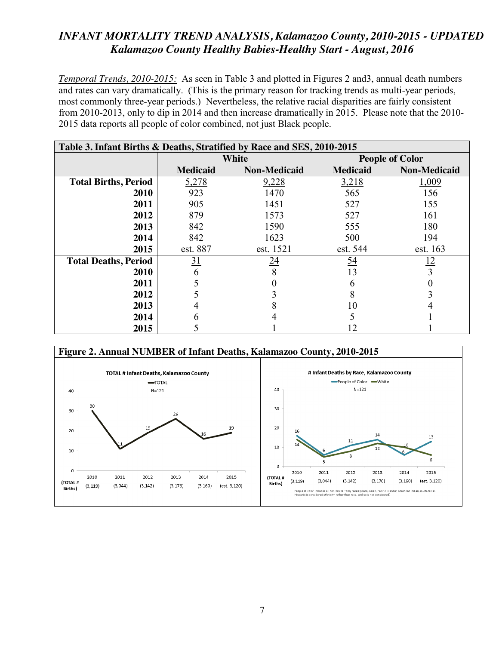*Temporal Trends, 2010-2015:* As seen in Table 3 and plotted in Figures 2 and3, annual death numbers and rates can vary dramatically. (This is the primary reason for tracking trends as multi-year periods, most commonly three-year periods.) Nevertheless, the relative racial disparities are fairly consistent from 2010-2013, only to dip in 2014 and then increase dramatically in 2015. Please note that the 2010- 2015 data reports all people of color combined, not just Black people.

| Table 3. Infant Births & Deaths, Stratified by Race and SES, 2010-2015 |                 |                     |                        |                     |  |  |  |
|------------------------------------------------------------------------|-----------------|---------------------|------------------------|---------------------|--|--|--|
|                                                                        |                 | <b>White</b>        | <b>People of Color</b> |                     |  |  |  |
|                                                                        | <b>Medicaid</b> | <b>Non-Medicaid</b> | <b>Medicaid</b>        | <b>Non-Medicaid</b> |  |  |  |
| <b>Total Births, Period</b>                                            | 5,278           | 9,228               | 3,218                  | 1,009               |  |  |  |
| 2010                                                                   | 923             | 1470                | 565                    | 156                 |  |  |  |
| 2011                                                                   | 905             | 1451                | 527                    | 155                 |  |  |  |
| 2012                                                                   | 879             | 1573                | 527                    | 161                 |  |  |  |
| 2013                                                                   | 842             | 1590                | 555                    | 180                 |  |  |  |
| 2014                                                                   | 842             | 1623                | 500                    | 194                 |  |  |  |
| 2015                                                                   | est. 887        | est. 1521           | est. 544               | est. 163            |  |  |  |
| <b>Total Deaths, Period</b>                                            | 31              | 24                  | 54                     | <u> 12</u>          |  |  |  |
| 2010                                                                   |                 |                     | 13                     |                     |  |  |  |
| 2011                                                                   |                 |                     |                        |                     |  |  |  |
| 2012                                                                   |                 |                     |                        |                     |  |  |  |
| 2013                                                                   |                 |                     | 10                     |                     |  |  |  |
| 2014                                                                   |                 |                     |                        |                     |  |  |  |
| 2015                                                                   |                 |                     |                        |                     |  |  |  |

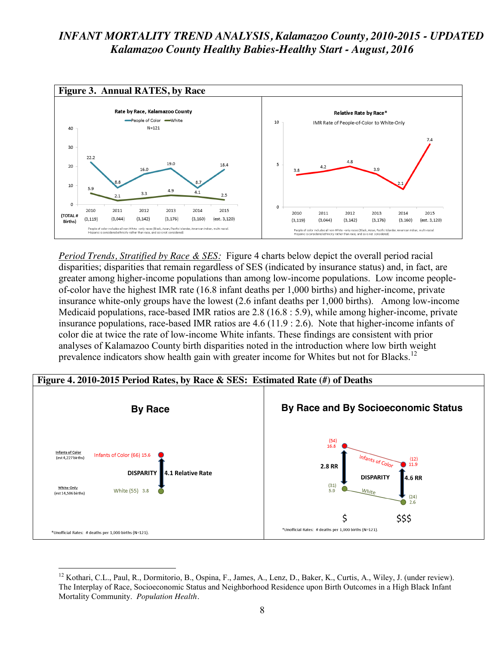

*Period Trends, Stratified by Race & SES:* Figure 4 charts below depict the overall period racial disparities; disparities that remain regardless of SES (indicated by insurance status) and, in fact, are greater among higher-income populations than among low-income populations. Low income peopleof-color have the highest IMR rate (16.8 infant deaths per 1,000 births) and higher-income, private insurance white-only groups have the lowest (2.6 infant deaths per 1,000 births). Among low-income Medicaid populations, race-based IMR ratios are 2.8 (16.8 : 5.9), while among higher-income, private insurance populations, race-based IMR ratios are 4.6 (11.9 : 2.6). Note that higher-income infants of color die at twice the rate of low-income White infants. These findings are consistent with prior analyses of Kalamazoo County birth disparities noted in the introduction where low birth weight prevalence indicators show health gain with greater income for Whites but not for Blacks.<sup>12</sup>



<sup>&</sup>lt;sup>12</sup> Kothari, C.L., Paul, R., Dormitorio, B., Ospina, F., James, A., Lenz, D., Baker, K., Curtis, A., Wiley, J. (under review). The Interplay of Race, Socioeconomic Status and Neighborhood Residence upon Birth Outcomes in a High Black Infant Mortality Community. *Population Health.*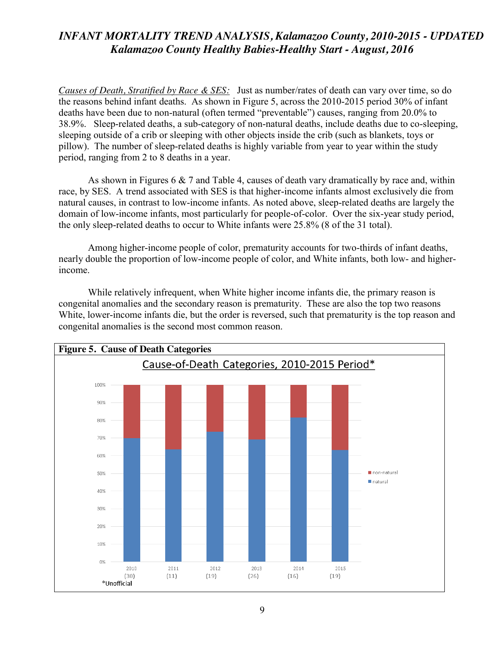*Causes of Death, Stratified by Race & SES:* Just as number/rates of death can vary over time, so do the reasons behind infant deaths. As shown in Figure 5, across the 2010-2015 period 30% of infant deaths have been due to non-natural (often termed "preventable") causes, ranging from 20.0% to 38.9%. Sleep-related deaths, a sub-category of non-natural deaths, include deaths due to co-sleeping, sleeping outside of a crib or sleeping with other objects inside the crib (such as blankets, toys or pillow). The number of sleep-related deaths is highly variable from year to year within the study period, ranging from 2 to 8 deaths in a year.

As shown in Figures 6  $\&$  7 and Table 4, causes of death vary dramatically by race and, within race, by SES. A trend associated with SES is that higher-income infants almost exclusively die from natural causes, in contrast to low-income infants. As noted above, sleep-related deaths are largely the domain of low-income infants, most particularly for people-of-color. Over the six-year study period, the only sleep-related deaths to occur to White infants were 25.8% (8 of the 31 total).

Among higher-income people of color, prematurity accounts for two-thirds of infant deaths, nearly double the proportion of low-income people of color, and White infants, both low- and higherincome.

While relatively infrequent, when White higher income infants die, the primary reason is congenital anomalies and the secondary reason is prematurity. These are also the top two reasons White, lower-income infants die, but the order is reversed, such that prematurity is the top reason and congenital anomalies is the second most common reason.

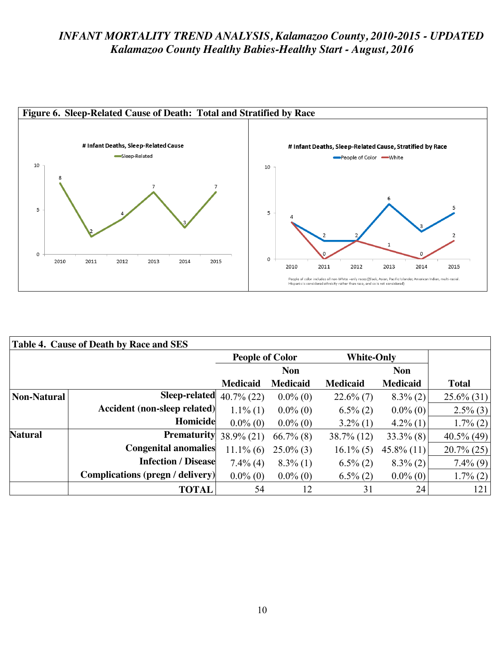

| Table 4. Cause of Death by Race and SES |                                         |                        |                 |                   |                 |               |  |
|-----------------------------------------|-----------------------------------------|------------------------|-----------------|-------------------|-----------------|---------------|--|
|                                         |                                         | <b>People of Color</b> |                 | <b>White-Only</b> |                 |               |  |
|                                         |                                         |                        | <b>Non</b>      |                   | <b>Non</b>      |               |  |
|                                         |                                         | <b>Medicaid</b>        | <b>Medicaid</b> | <b>Medicaid</b>   | <b>Medicaid</b> | <b>Total</b>  |  |
| <b>Non-Natural</b>                      | Sleep-related                           | $40.7\%$ (22)          | $0.0\%$ (0)     | $22.6\%$ (7)      | $8.3\%$ (2)     | $25.6\%$ (31) |  |
|                                         | Accident (non-sleep related)            | $1.1\%$ (1)            | $0.0\%$ (0)     | $6.5\%$ (2)       | $0.0\%$ (0)     | $2.5\%$ (3)   |  |
|                                         | Homicide                                | $0.0\%$ (0)            | $0.0\%$ (0)     | $3.2\%$ (1)       | $4.2\%$ (1)     | $1.7\%$ (2)   |  |
| Natural                                 | <b>Prematurity</b>                      | $38.9\% (21)$          | $66.7\%$ (8)    | $38.7\%$ (12)     | $33.3\%$ (8)    | $40.5\%$ (49) |  |
|                                         | <b>Congenital anomalies</b>             | $11.1\%$ (6)           | $25.0\%$ (3)    | $16.1\%$ (5)      | $45.8\%$ (11)   | $20.7\% (25)$ |  |
|                                         | <b>Infection / Disease</b>              | $7.4\%$ (4)            | $8.3\%$ (1)     | $6.5\%$ (2)       | $8.3\%$ (2)     | $7.4\%$ (9)   |  |
|                                         | <b>Complications (pregn / delivery)</b> | $0.0\%$ (0)            | $0.0\%$ (0)     | $6.5\%$ (2)       | $0.0\%$ (0)     | $1.7\%$ (2)   |  |
|                                         | <b>TOTAL</b>                            | 54                     | 12              | 31                | 24              | 121           |  |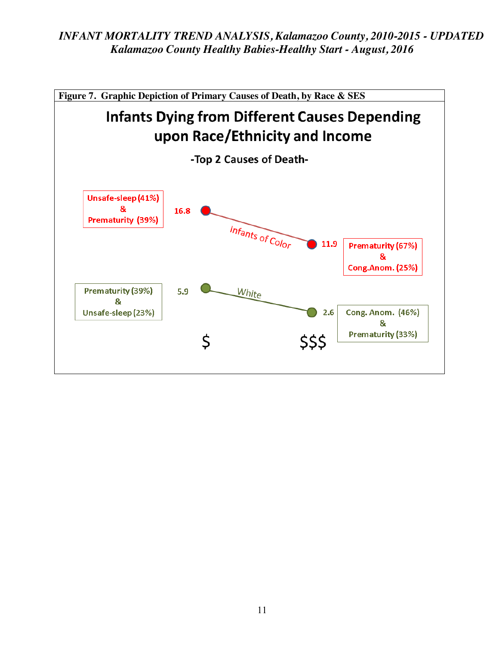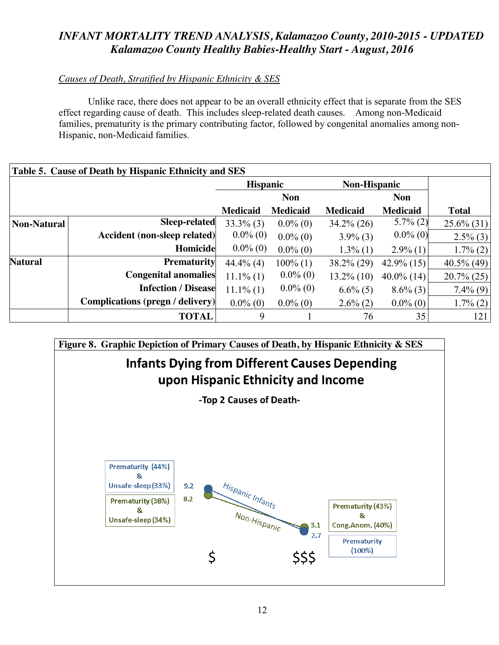## *Causes of Death, Stratified by Hispanic Ethnicity & SES*

Unlike race, there does not appear to be an overall ethnicity effect that is separate from the SES effect regarding cause of death. This includes sleep-related death causes. Among non-Medicaid families, prematurity is the primary contributing factor, followed by congenital anomalies among non-Hispanic, non-Medicaid families.

| Table 5. Cause of Death by Hispanic Ethnicity and SES |                                         |                 |                 |                     |                 |               |  |
|-------------------------------------------------------|-----------------------------------------|-----------------|-----------------|---------------------|-----------------|---------------|--|
|                                                       |                                         | <b>Hispanic</b> |                 | <b>Non-Hispanic</b> |                 |               |  |
|                                                       |                                         |                 | <b>Non</b>      |                     | <b>Non</b>      |               |  |
|                                                       |                                         | <b>Medicaid</b> | <b>Medicaid</b> | <b>Medicaid</b>     | <b>Medicaid</b> | <b>Total</b>  |  |
| Non-Natural                                           | <b>Sleep-related</b>                    | $33.3\%$ (3)    | $0.0\%$ (0)     | $34.2\% (26)$       | $5.7\%$ (2)     | $25.6\%$ (31) |  |
|                                                       | Accident (non-sleep related)            | $0.0\%$ (0)     | $0.0\%$ (0)     | $3.9\%$ (3)         | $0.0\%$ (0)     | $2.5\%$ (3)   |  |
|                                                       | Homicide                                | $0.0\%$ (0)     | $0.0\%$ (0)     | $1.3\%$ (1)         | $2.9\%$ (1)     | $1.7\%$ (2)   |  |
| <b>Natural</b>                                        | <b>Prematurity</b>                      | $44.4\%$ (4)    | $100\%$ (1)     | $38.2\% (29)$       | $42.9\%$ (15)   | $40.5\%$ (49) |  |
|                                                       | <b>Congenital anomalies</b>             | $11.1\%$ (1)    | $0.0\%$ (0)     | $13.2\%$ (10)       | $40.0\%$ (14)   | $20.7\% (25)$ |  |
|                                                       | <b>Infection / Disease</b>              | $11.1\%$ (1)    | $0.0\%$ (0)     | $6.6\%$ (5)         | $8.6\%$ (3)     | $7.4\%$ (9)   |  |
|                                                       | <b>Complications (pregn / delivery)</b> | $0.0\%$ (0)     | $0.0\%$ (0)     | $2.6\%$ (2)         | $0.0\%$ (0)     | $1.7\%$ (2)   |  |
|                                                       | <b>TOTAL</b>                            | 9               |                 | 76                  | 35              | 121           |  |

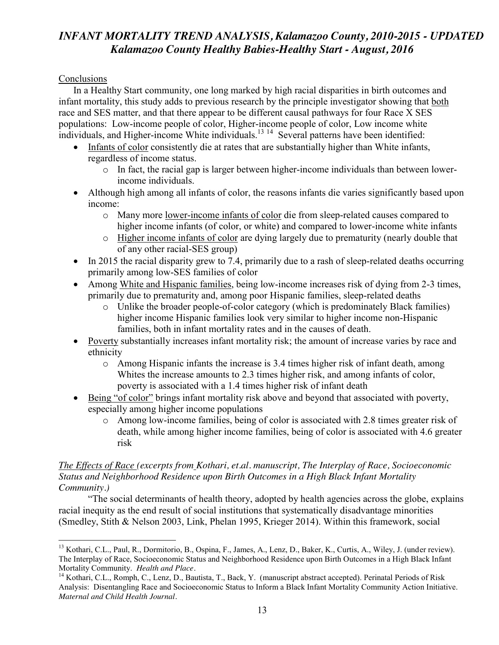### **Conclusions**

In a Healthy Start community, one long marked by high racial disparities in birth outcomes and infant mortality, this study adds to previous research by the principle investigator showing that both race and SES matter, and that there appear to be different causal pathways for four Race X SES populations: Low-income people of color, Higher-income people of color, Low income white individuals, and Higher-income White individuals.<sup>13 14</sup> Several patterns have been identified:

- Infants of color consistently die at rates that are substantially higher than White infants, regardless of income status.
	- $\circ$  In fact, the racial gap is larger between higher-income individuals than between lowerincome individuals.
- Although high among all infants of color, the reasons infants die varies significantly based upon income:
	- o Many more lower-income infants of color die from sleep-related causes compared to higher income infants (of color, or white) and compared to lower-income white infants
	- o Higher income infants of color are dying largely due to prematurity (nearly double that of any other racial-SES group)
- $\bullet$  In 2015 the racial disparity grew to 7.4, primarily due to a rash of sleep-related deaths occurring primarily among low-SES families of color
- Among White and Hispanic families, being low-income increases risk of dying from 2-3 times, primarily due to prematurity and, among poor Hispanic families, sleep-related deaths
	- o Unlike the broader people-of-color category (which is predominately Black families) higher income Hispanic families look very similar to higher income non-Hispanic families, both in infant mortality rates and in the causes of death.
- Poverty substantially increases infant mortality risk; the amount of increase varies by race and ethnicity
	- o Among Hispanic infants the increase is 3.4 times higher risk of infant death, among Whites the increase amounts to 2.3 times higher risk, and among infants of color, poverty is associated with a 1.4 times higher risk of infant death
- Being "of color" brings infant mortality risk above and beyond that associated with poverty, especially among higher income populations
	- o Among low-income families, being of color is associated with 2.8 times greater risk of death, while among higher income families, being of color is associated with 4.6 greater risk

### *The Effects of Race (excerpts from Kothari, et.al. manuscript, The Interplay of Race, Socioeconomic Status and Neighborhood Residence upon Birth Outcomes in a High Black Infant Mortality Community.)*

"The social determinants of health theory, adopted by health agencies across the globe, explains racial inequity as the end result of social institutions that systematically disadvantage minorities (Smedley, Stith & Nelson 2003, Link, Phelan 1995, Krieger 2014). Within this framework, social

<sup>&</sup>lt;sup>13</sup> Kothari, C.L., Paul, R., Dormitorio, B., Ospina, F., James, A., Lenz, D., Baker, K., Curtis, A., Wiley, J. (under review). The Interplay of Race, Socioeconomic Status and Neighborhood Residence upon Birth Outcomes in a High Black Infant Mortality Community. *Health and Place*.<br><sup>14</sup> Kothari, C.L., Romph, C., Lenz, D., Bautista, T., Back, Y. (manuscript abstract accepted). Perinatal Periods of Risk

Analysis: Disentangling Race and Socioeconomic Status to Inform a Black Infant Mortality Community Action Initiative. *Maternal and Child Health Journal.*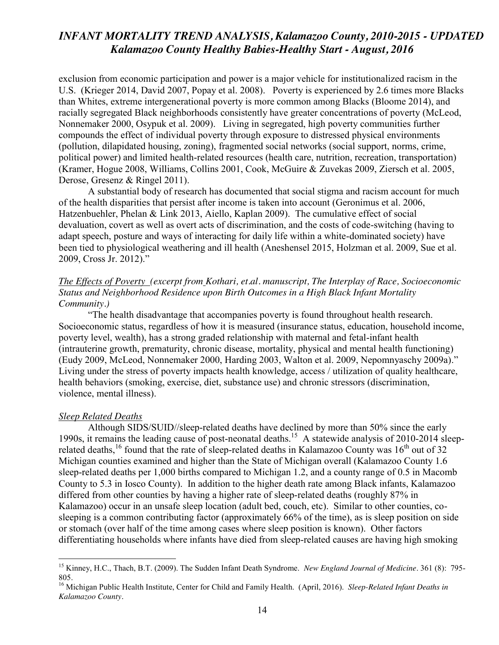exclusion from economic participation and power is a major vehicle for institutionalized racism in the U.S. (Krieger 2014, David 2007, Popay et al. 2008). Poverty is experienced by 2.6 times more Blacks than Whites, extreme intergenerational poverty is more common among Blacks (Bloome 2014), and racially segregated Black neighborhoods consistently have greater concentrations of poverty (McLeod, Nonnemaker 2000, Osypuk et al. 2009). Living in segregated, high poverty communities further compounds the effect of individual poverty through exposure to distressed physical environments (pollution, dilapidated housing, zoning), fragmented social networks (social support, norms, crime, political power) and limited health-related resources (health care, nutrition, recreation, transportation) (Kramer, Hogue 2008, Williams, Collins 2001, Cook, McGuire & Zuvekas 2009, Ziersch et al. 2005, Derose, Gresenz & Ringel 2011).

A substantial body of research has documented that social stigma and racism account for much of the health disparities that persist after income is taken into account (Geronimus et al. 2006, Hatzenbuehler, Phelan & Link 2013, Aiello, Kaplan 2009). The cumulative effect of social devaluation, covert as well as overt acts of discrimination, and the costs of code-switching (having to adapt speech, posture and ways of interacting for daily life within a white-dominated society) have been tied to physiological weathering and ill health (Aneshensel 2015, Holzman et al. 2009, Sue et al. 2009, Cross Jr. 2012)."

#### *The Effects of Poverty (excerpt from Kothari, et.al. manuscript, The Interplay of Race, Socioeconomic Status and Neighborhood Residence upon Birth Outcomes in a High Black Infant Mortality Community.)*

"The health disadvantage that accompanies poverty is found throughout health research. Socioeconomic status, regardless of how it is measured (insurance status, education, household income, poverty level, wealth), has a strong graded relationship with maternal and fetal-infant health (intrauterine growth, prematurity, chronic disease, mortality, physical and mental health functioning) (Eudy 2009, McLeod, Nonnemaker 2000, Harding 2003, Walton et al. 2009, Nepomnyaschy 2009a)." Living under the stress of poverty impacts health knowledge, access / utilization of quality healthcare, health behaviors (smoking, exercise, diet, substance use) and chronic stressors (discrimination, violence, mental illness).

#### *Sleep Related Deaths*

Although SIDS/SUID//sleep-related deaths have declined by more than 50% since the early 1990s, it remains the leading cause of post-neonatal deaths.15 A statewide analysis of 2010-2014 sleeprelated deaths,<sup>16</sup> found that the rate of sleep-related deaths in Kalamazoo County was  $16<sup>th</sup>$  out of 32 Michigan counties examined and higher than the State of Michigan overall (Kalamazoo County 1.6 sleep-related deaths per 1,000 births compared to Michigan 1.2, and a county range of 0.5 in Macomb County to 5.3 in Iosco County). In addition to the higher death rate among Black infants, Kalamazoo differed from other counties by having a higher rate of sleep-related deaths (roughly 87% in Kalamazoo) occur in an unsafe sleep location (adult bed, couch, etc). Similar to other counties, cosleeping is a common contributing factor (approximately 66% of the time), as is sleep position on side or stomach (over half of the time among cases where sleep position is known). Other factors differentiating households where infants have died from sleep-related causes are having high smoking

 <sup>15</sup> Kinney, H.C., Thach, B.T. (2009). The Sudden Infant Death Syndrome. *New England Journal of Medicine*. 361 (8): 795- 805.

<sup>16</sup> Michigan Public Health Institute, Center for Child and Family Health. (April, 2016). *Sleep-Related Infant Deaths in Kalamazoo County.*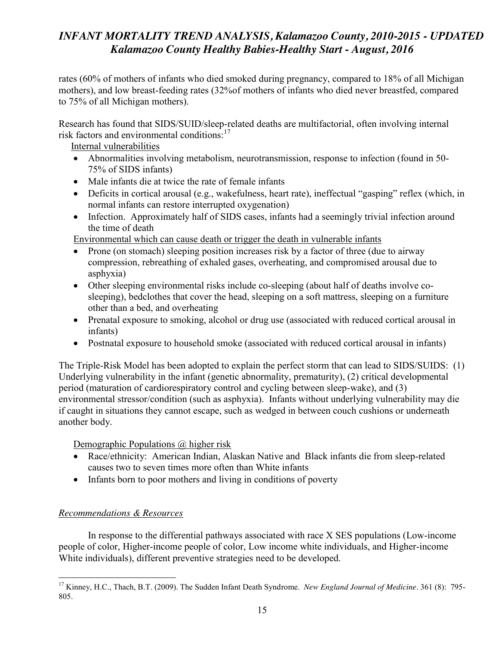rates (60% of mothers of infants who died smoked during pregnancy, compared to 18% of all Michigan mothers), and low breast-feeding rates (32%of mothers of infants who died never breastfed, compared to 75% of all Michigan mothers).

Research has found that SIDS/SUID/sleep-related deaths are multifactorial, often involving internal risk factors and environmental conditions:<sup>17</sup>

Internal vulnerabilities

- Abnormalities involving metabolism, neurotransmission, response to infection (found in 50-75% of SIDS infants)
- Male infants die at twice the rate of female infants
- Deficits in cortical arousal (e.g., wakefulness, heart rate), ineffectual "gasping" reflex (which, in normal infants can restore interrupted oxygenation)
- Infection. Approximately half of SIDS cases, infants had a seemingly trivial infection around the time of death

Environmental which can cause death or trigger the death in vulnerable infants

- Prone (on stomach) sleeping position increases risk by a factor of three (due to airway compression, rebreathing of exhaled gases, overheating, and compromised arousal due to asphyxia)
- Other sleeping environmental risks include co-sleeping (about half of deaths involve cosleeping), bedclothes that cover the head, sleeping on a soft mattress, sleeping on a furniture other than a bed, and overheating
- Prenatal exposure to smoking, alcohol or drug use (associated with reduced cortical arousal in infants)
- Postnatal exposure to household smoke (associated with reduced cortical arousal in infants)

The Triple-Risk Model has been adopted to explain the perfect storm that can lead to SIDS/SUIDS: (1) Underlying vulnerability in the infant (genetic abnormality, prematurity), (2) critical developmental period (maturation of cardiorespiratory control and cycling between sleep-wake), and (3) environmental stressor/condition (such as asphyxia). Infants without underlying vulnerability may die if caught in situations they cannot escape, such as wedged in between couch cushions or underneath another body.

Demographic Populations @ higher risk

- Race/ethnicity: American Indian, Alaskan Native and Black infants die from sleep-related causes two to seven times more often than White infants
- Infants born to poor mothers and living in conditions of poverty

## *Recommendations & Resources*

In response to the differential pathways associated with race X SES populations (Low-income people of color, Higher-income people of color, Low income white individuals, and Higher-income White individuals), different preventive strategies need to be developed.

 <sup>17</sup> Kinney, H.C., Thach, B.T. (2009). The Sudden Infant Death Syndrome. *New England Journal of Medicine*. 361 (8): 795- 805.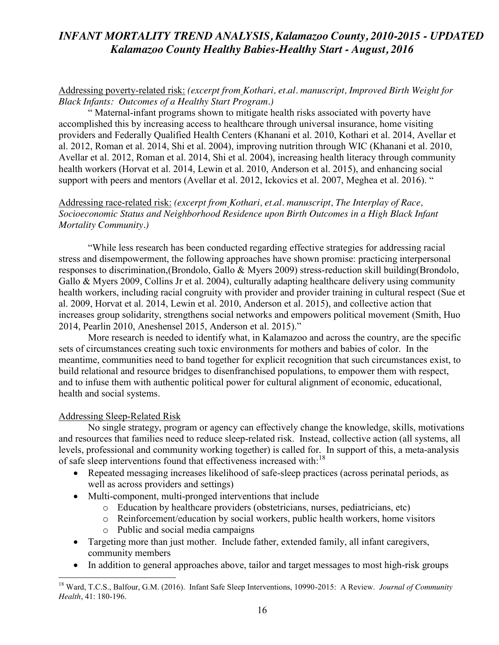### Addressing poverty-related risk: *(excerpt from Kothari, et.al. manuscript, Improved Birth Weight for Black Infants: Outcomes of a Healthy Start Program.)*

" Maternal-infant programs shown to mitigate health risks associated with poverty have accomplished this by increasing access to healthcare through universal insurance, home visiting providers and Federally Qualified Health Centers (Khanani et al. 2010, Kothari et al. 2014, Avellar et al. 2012, Roman et al. 2014, Shi et al. 2004), improving nutrition through WIC (Khanani et al. 2010, Avellar et al. 2012, Roman et al. 2014, Shi et al. 2004), increasing health literacy through community health workers (Horvat et al. 2014, Lewin et al. 2010, Anderson et al. 2015), and enhancing social support with peers and mentors (Avellar et al. 2012, Ickovics et al. 2007, Meghea et al. 2016). "

### Addressing race-related risk: *(excerpt from Kothari, et.al. manuscript, The Interplay of Race, Socioeconomic Status and Neighborhood Residence upon Birth Outcomes in a High Black Infant Mortality Community.)*

"While less research has been conducted regarding effective strategies for addressing racial stress and disempowerment, the following approaches have shown promise: practicing interpersonal responses to discrimination,(Brondolo, Gallo & Myers 2009) stress-reduction skill building(Brondolo, Gallo & Myers 2009, Collins Jr et al. 2004), culturally adapting healthcare delivery using community health workers, including racial congruity with provider and provider training in cultural respect (Sue et al. 2009, Horvat et al. 2014, Lewin et al. 2010, Anderson et al. 2015), and collective action that increases group solidarity, strengthens social networks and empowers political movement (Smith, Huo 2014, Pearlin 2010, Aneshensel 2015, Anderson et al. 2015)."

More research is needed to identify what, in Kalamazoo and across the country, are the specific sets of circumstances creating such toxic environments for mothers and babies of color. In the meantime, communities need to band together for explicit recognition that such circumstances exist, to build relational and resource bridges to disenfranchised populations, to empower them with respect, and to infuse them with authentic political power for cultural alignment of economic, educational, health and social systems.

#### Addressing Sleep-Related Risk

No single strategy, program or agency can effectively change the knowledge, skills, motivations and resources that families need to reduce sleep-related risk. Instead, collective action (all systems, all levels, professional and community working together) is called for. In support of this, a meta-analysis of safe sleep interventions found that effectiveness increased with:<sup>18</sup>

- Repeated messaging increases likelihood of safe-sleep practices (across perinatal periods, as well as across providers and settings)
- Multi-component, multi-pronged interventions that include
	- o Education by healthcare providers (obstetricians, nurses, pediatricians, etc)
	- o Reinforcement/education by social workers, public health workers, home visitors
	- o Public and social media campaigns
- Targeting more than just mother. Include father, extended family, all infant caregivers, community members
- In addition to general approaches above, tailor and target messages to most high-risk groups

 <sup>18</sup> Ward, T.C.S., Balfour, G.M. (2016). Infant Safe Sleep Interventions, 10990-2015: A Review. *Journal of Community Health*, 41: 180-196.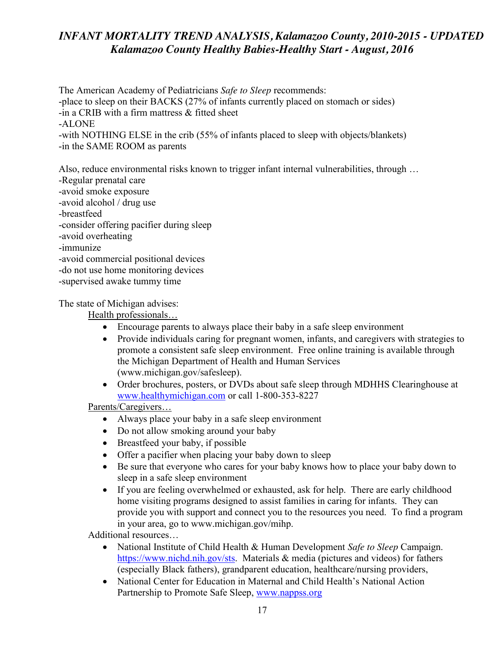The American Academy of Pediatricians *Safe to Sleep* recommends: -place to sleep on their BACKS (27% of infants currently placed on stomach or sides) -in a CRIB with a firm mattress & fitted sheet -ALONE -with NOTHING ELSE in the crib (55% of infants placed to sleep with objects/blankets) -in the SAME ROOM as parents

Also, reduce environmental risks known to trigger infant internal vulnerabilities, through … -Regular prenatal care -avoid smoke exposure -avoid alcohol / drug use -breastfeed -consider offering pacifier during sleep -avoid overheating -immunize -avoid commercial positional devices -do not use home monitoring devices

-supervised awake tummy time

The state of Michigan advises:

Health professionals…

- Encourage parents to always place their baby in a safe sleep environment
- Provide individuals caring for pregnant women, infants, and caregivers with strategies to promote a consistent safe sleep environment. Free online training is available through the Michigan Department of Health and Human Services (www.michigan.gov/safesleep).
- Order brochures, posters, or DVDs about safe sleep through MDHHS Clearinghouse at [www.healthymichigan.com](http://www.healthymichigan.com/) or call 1-800-353-8227

Parents/Caregivers…

- Always place your baby in a safe sleep environment
- Do not allow smoking around your baby
- Breastfeed your baby, if possible
- Offer a pacifier when placing your baby down to sleep
- Exercise Be sure that everyone who cares for your baby knows how to place your baby down to sleep in a safe sleep environment
- If you are feeling overwhelmed or exhausted, ask for help. There are early childhood home visiting programs designed to assist families in caring for infants. They can provide you with support and connect you to the resources you need. To find a program in your area, go to www.michigan.gov/mihp.

Additional resources…

- National Institute of Child Health & Human Development *Safe to Sleep* Campaign. [https://www.nichd.nih.gov/sts.](https://www.nichd.nih.gov/sts) Materials & media (pictures and videos) for fathers (especially Black fathers), grandparent education, healthcare/nursing providers,
- National Center for Education in Maternal and Child Health's National Action Partnership to Promote Safe Sleep, [www.nappss.org](http://www.nappss.org/)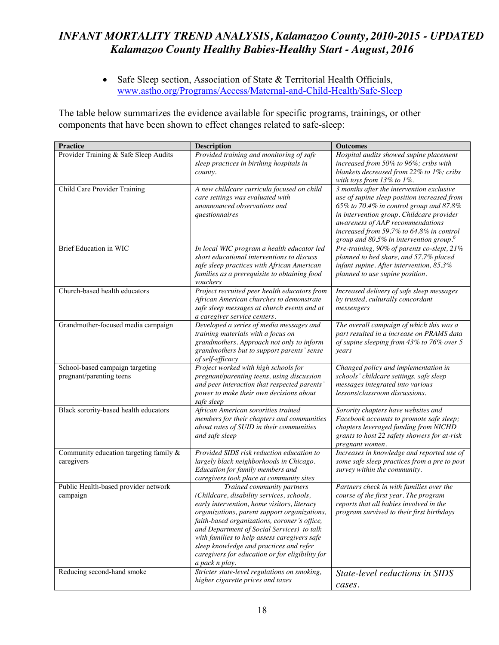• Safe Sleep section, Association of State & Territorial Health Officials, [www.astho.org/Programs/Access/Maternal-and-Child-Health/Safe-Sleep](http://www.astho.org/Programs/Access/Maternal-and-Child-Health/Safe-Sleep)

The table below summarizes the evidence available for specific programs, trainings, or other components that have been shown to effect changes related to safe-sleep:

| <b>Practice</b>                                             | <b>Description</b>                                                                                                                                                                                                                                                                                                                                                                                                                   | <b>Outcomes</b>                                                                                                                                                                                                                                                                                                            |
|-------------------------------------------------------------|--------------------------------------------------------------------------------------------------------------------------------------------------------------------------------------------------------------------------------------------------------------------------------------------------------------------------------------------------------------------------------------------------------------------------------------|----------------------------------------------------------------------------------------------------------------------------------------------------------------------------------------------------------------------------------------------------------------------------------------------------------------------------|
| Provider Training & Safe Sleep Audits                       | Provided training and monitoring of safe<br>sleep practices in birthing hospitals in<br>county.                                                                                                                                                                                                                                                                                                                                      | Hospital audits showed supine placement<br>increased from 50% to 96%; cribs with<br>blankets decreased from 22% to 1%; cribs<br>with toys from $13\%$ to $1\%$ .                                                                                                                                                           |
| Child Care Provider Training                                | A new childcare curricula focused on child<br>care settings was evaluated with<br>unannounced observations and<br>questionnaires                                                                                                                                                                                                                                                                                                     | 3 months after the intervention exclusive<br>use of supine sleep position increased from<br>65% to 70.4% in control group and 87.8%<br>in intervention group. Childcare provider<br>awareness of AAP recommendations<br>increased from 59.7% to 64.8% in control<br>group and $80.5\%$ in intervention group. <sup>6</sup> |
| <b>Brief Education in WIC</b>                               | In local WIC program a health educator led<br>short educational interventions to discuss<br>safe sleep practices with African American<br>families as a prerequisite to obtaining food<br>vouchers                                                                                                                                                                                                                                   | Pre-training, 90% of parents co-slept, 21%<br>planned to bed share, and 57.7% placed<br>infant supine. After intervention, 85.3%<br>planned to use supine position.                                                                                                                                                        |
| Church-based health educators                               | Project recruited peer health educators from<br>African American churches to demonstrate<br>safe sleep messages at church events and at<br>a caregiver service centers.                                                                                                                                                                                                                                                              | Increased delivery of safe sleep messages<br>by trusted, culturally concordant<br>messengers                                                                                                                                                                                                                               |
| Grandmother-focused media campaign                          | Developed a series of media messages and<br>training materials with a focus on<br>grandmothers. Approach not only to inform<br>grandmothers but to support parents' sense<br>of self-efficacy                                                                                                                                                                                                                                        | The overall campaign of which this was a<br>part resulted in a increase on PRAMS data<br>of supine sleeping from 43% to 76% over 5<br>years                                                                                                                                                                                |
| School-based campaign targeting<br>pregnant/parenting teens | Project worked with high schools for<br>pregnant/parenting teens, using discussion<br>and peer interaction that respected parents'<br>power to make their own decisions about<br>safe sleep                                                                                                                                                                                                                                          | Changed policy and implementation in<br>schools' childcare settings, safe sleep<br>messages integrated into various<br>lessons/classroom discussions.                                                                                                                                                                      |
| Black sorority-based health educators                       | African American sororities trained<br>members for their chapters and communities<br>about rates of SUID in their communities<br>and safe sleep                                                                                                                                                                                                                                                                                      | Sorority chapters have websites and<br>Facebook accounts to promote safe sleep;<br>chapters leveraged funding from NICHD<br>grants to host 22 safety showers for at-risk<br>pregnant women.                                                                                                                                |
| Community education targeting family $\&$<br>caregivers     | Provided SIDS risk reduction education to<br>largely black neighborhoods in Chicago.<br>Education for family members and<br>caregivers took place at community sites                                                                                                                                                                                                                                                                 | Increases in knowledge and reported use of<br>some safe sleep practices from a pre to post<br>survey within the community.                                                                                                                                                                                                 |
| Public Health-based provider network<br>campaign            | Trained community partners<br>(Childcare, disability services, schools,<br>early intervention, home visitors, literacy<br>organizations, parent support organizations,<br>faith-based organizations, coroner's office,<br>and Department of Social Services) to talk<br>with families to help assess caregivers safe<br>sleep knowledge and practices and refer<br>caregivers for education or for eligibility for<br>a pack n play. | Partners check in with families over the<br>course of the first year. The program<br>reports that all babies involved in the<br>program survived to their first birthdays                                                                                                                                                  |
| Reducing second-hand smoke                                  | Stricter state-level regulations on smoking,<br>higher cigarette prices and taxes                                                                                                                                                                                                                                                                                                                                                    | State-level reductions in SIDS<br>cases.                                                                                                                                                                                                                                                                                   |